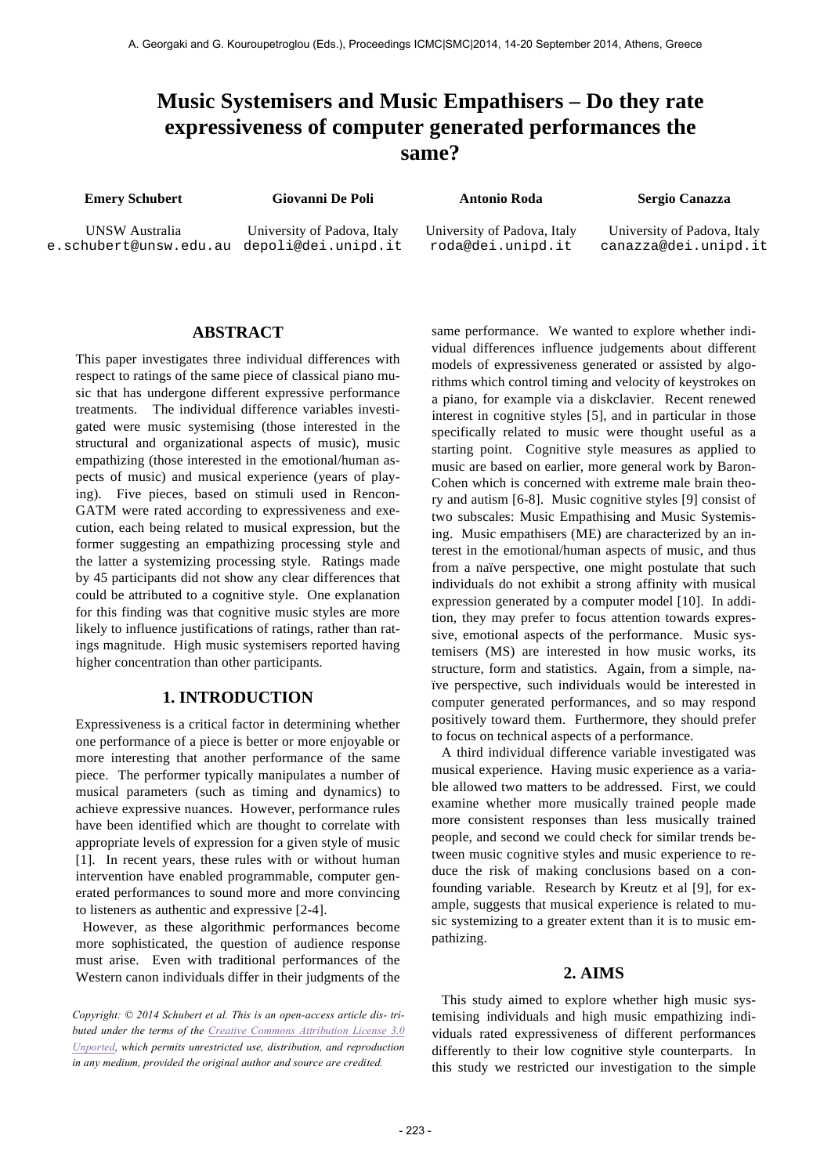# **Music Systemisers and Music Empathisers – Do they rate expressiveness of computer generated performances the same?**

**Emery Schubert Giovanni De Poli Antonio Roda Sergio Canazza** 

UNSW Australia e.schubert@unsw.edu.au depoli@dei.unipd.it

University of Padova, Italy

University of Padova, Italy roda@dei.unipd.it

University of Padova, Italy canazza@dei.unipd.it

### **ABSTRACT**

This paper investigates three individual differences with respect to ratings of the same piece of classical piano music that has undergone different expressive performance treatments. The individual difference variables investigated were music systemising (those interested in the structural and organizational aspects of music), music empathizing (those interested in the emotional/human aspects of music) and musical experience (years of playing). Five pieces, based on stimuli used in Rencon-GATM were rated according to expressiveness and execution, each being related to musical expression, but the former suggesting an empathizing processing style and the latter a systemizing processing style. Ratings made by 45 participants did not show any clear differences that could be attributed to a cognitive style. One explanation for this finding was that cognitive music styles are more likely to influence justifications of ratings, rather than ratings magnitude. High music systemisers reported having higher concentration than other participants.

#### **1. INTRODUCTION**

Expressiveness is a critical factor in determining whether one performance of a piece is better or more enjoyable or more interesting that another performance of the same piece. The performer typically manipulates a number of musical parameters (such as timing and dynamics) to achieve expressive nuances. However, performance rules have been identified which are thought to correlate with appropriate levels of expression for a given style of music [1]. In recent years, these rules with or without human intervention have enabled programmable, computer generated performances to sound more and more convincing to listeners as authentic and expressive [2-4].

 However, as these algorithmic performances become more sophisticated, the question of audience response must arise. Even with traditional performances of the Western canon individuals differ in their judgments of the

*Copyright: © 2014 Schubert et al. This is an open-access article dis- tributed under the terms of the Creative Commons Attribution License 3.0 Unported, which permits unrestricted use, distribution, and reproduction in any medium, provided the original author and source are credited.*

same performance. We wanted to explore whether individual differences influence judgements about different models of expressiveness generated or assisted by algorithms which control timing and velocity of keystrokes on a piano, for example via a diskclavier. Recent renewed interest in cognitive styles [5], and in particular in those specifically related to music were thought useful as a starting point. Cognitive style measures as applied to music are based on earlier, more general work by Baron-Cohen which is concerned with extreme male brain theory and autism [6-8]. Music cognitive styles [9] consist of two subscales: Music Empathising and Music Systemising. Music empathisers (ME) are characterized by an interest in the emotional/human aspects of music, and thus from a naïve perspective, one might postulate that such individuals do not exhibit a strong affinity with musical expression generated by a computer model [10]. In addition, they may prefer to focus attention towards expressive, emotional aspects of the performance. Music systemisers (MS) are interested in how music works, its structure, form and statistics. Again, from a simple, naïve perspective, such individuals would be interested in computer generated performances, and so may respond positively toward them. Furthermore, they should prefer to focus on technical aspects of a performance.

A third individual difference variable investigated was musical experience. Having music experience as a variable allowed two matters to be addressed. First, we could examine whether more musically trained people made more consistent responses than less musically trained people, and second we could check for similar trends between music cognitive styles and music experience to reduce the risk of making conclusions based on a confounding variable. Research by Kreutz et al [9], for example, suggests that musical experience is related to music systemizing to a greater extent than it is to music empathizing.

#### **2. AIMS**

This study aimed to explore whether high music systemising individuals and high music empathizing individuals rated expressiveness of different performances differently to their low cognitive style counterparts. In this study we restricted our investigation to the simple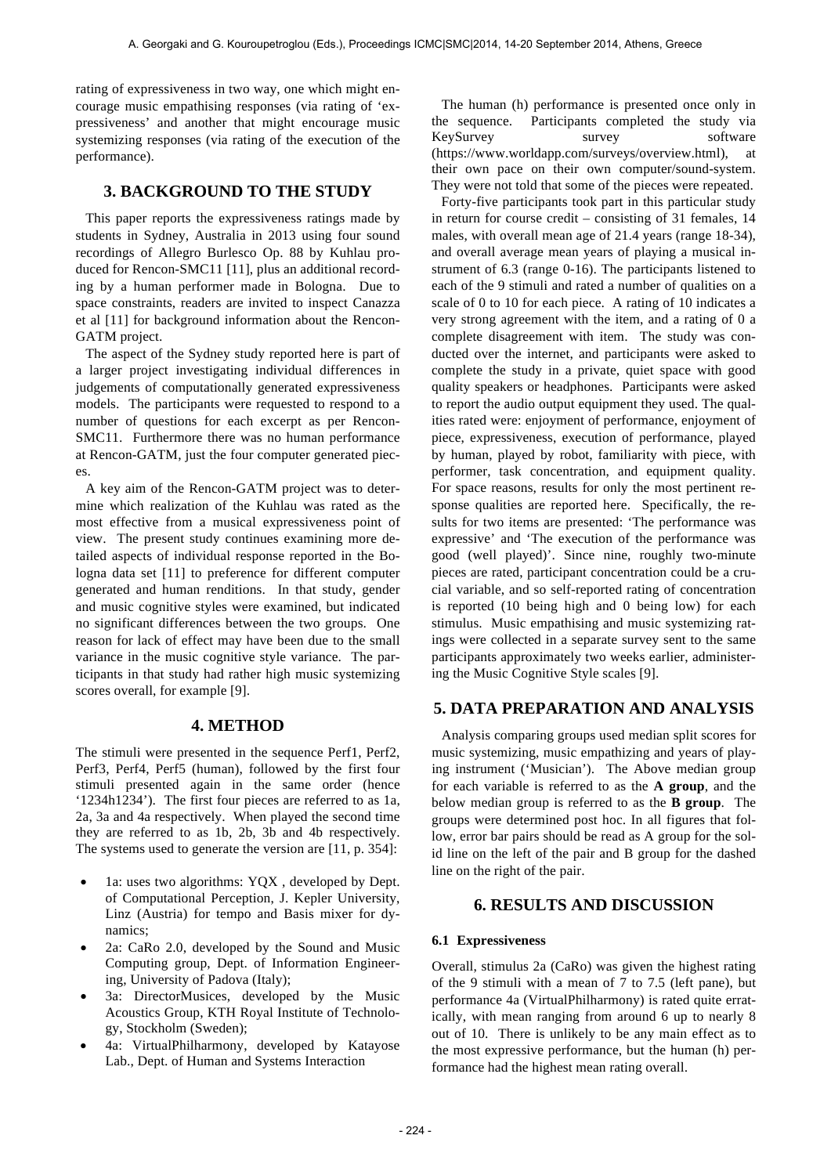rating of expressiveness in two way, one which might encourage music empathising responses (via rating of 'expressiveness' and another that might encourage music systemizing responses (via rating of the execution of the performance).

## **3. BACKGROUND TO THE STUDY**

This paper reports the expressiveness ratings made by students in Sydney, Australia in 2013 using four sound recordings of Allegro Burlesco Op. 88 by Kuhlau produced for Rencon-SMC11 [11], plus an additional recording by a human performer made in Bologna. Due to space constraints, readers are invited to inspect Canazza et al [11] for background information about the Rencon-GATM project.

The aspect of the Sydney study reported here is part of a larger project investigating individual differences in judgements of computationally generated expressiveness models. The participants were requested to respond to a number of questions for each excerpt as per Rencon-SMC11. Furthermore there was no human performance at Rencon-GATM, just the four computer generated pieces.

A key aim of the Rencon-GATM project was to determine which realization of the Kuhlau was rated as the most effective from a musical expressiveness point of view. The present study continues examining more detailed aspects of individual response reported in the Bologna data set [11] to preference for different computer generated and human renditions. In that study, gender and music cognitive styles were examined, but indicated no significant differences between the two groups. One reason for lack of effect may have been due to the small variance in the music cognitive style variance. The participants in that study had rather high music systemizing scores overall, for example [9].

## **4. METHOD**

The stimuli were presented in the sequence Perf1, Perf2, Perf3, Perf4, Perf5 (human), followed by the first four stimuli presented again in the same order (hence '1234h1234'). The first four pieces are referred to as 1a, 2a, 3a and 4a respectively. When played the second time they are referred to as 1b, 2b, 3b and 4b respectively. The systems used to generate the version are [11, p. 354]:

- 1a: uses two algorithms: YOX, developed by Dept. of Computational Perception, J. Kepler University, Linz (Austria) for tempo and Basis mixer for dynamics;
- 2a: CaRo 2.0, developed by the Sound and Music Computing group, Dept. of Information Engineering, University of Padova (Italy);
- 3a: DirectorMusices, developed by the Music Acoustics Group, KTH Royal Institute of Technology, Stockholm (Sweden);
- 4a: VirtualPhilharmony, developed by Katayose Lab., Dept. of Human and Systems Interaction

The human (h) performance is presented once only in the sequence. Participants completed the study via KeySurvey survey survey software (https://www.worldapp.com/surveys/overview.html), at their own pace on their own computer/sound-system. They were not told that some of the pieces were repeated.

Forty-five participants took part in this particular study in return for course credit – consisting of 31 females, 14 males, with overall mean age of 21.4 years (range 18-34), and overall average mean years of playing a musical instrument of 6.3 (range 0-16). The participants listened to each of the 9 stimuli and rated a number of qualities on a scale of 0 to 10 for each piece. A rating of 10 indicates a very strong agreement with the item, and a rating of 0 a complete disagreement with item. The study was conducted over the internet, and participants were asked to complete the study in a private, quiet space with good quality speakers or headphones. Participants were asked to report the audio output equipment they used. The qualities rated were: enjoyment of performance, enjoyment of piece, expressiveness, execution of performance, played by human, played by robot, familiarity with piece, with performer, task concentration, and equipment quality. For space reasons, results for only the most pertinent response qualities are reported here. Specifically, the results for two items are presented: 'The performance was expressive' and 'The execution of the performance was good (well played)'. Since nine, roughly two-minute pieces are rated, participant concentration could be a crucial variable, and so self-reported rating of concentration is reported (10 being high and 0 being low) for each stimulus. Music empathising and music systemizing ratings were collected in a separate survey sent to the same participants approximately two weeks earlier, administering the Music Cognitive Style scales [9].

## **5. DATA PREPARATION AND ANALYSIS**

Analysis comparing groups used median split scores for music systemizing, music empathizing and years of playing instrument ('Musician'). The Above median group for each variable is referred to as the **A group**, and the below median group is referred to as the **B group**. The groups were determined post hoc. In all figures that follow, error bar pairs should be read as A group for the solid line on the left of the pair and B group for the dashed line on the right of the pair.

## **6. RESULTS AND DISCUSSION**

#### **6.1 Expressiveness**

Overall, stimulus 2a (CaRo) was given the highest rating of the 9 stimuli with a mean of 7 to 7.5 (left pane), but performance 4a (VirtualPhilharmony) is rated quite erratically, with mean ranging from around 6 up to nearly 8 out of 10. There is unlikely to be any main effect as to the most expressive performance, but the human (h) performance had the highest mean rating overall.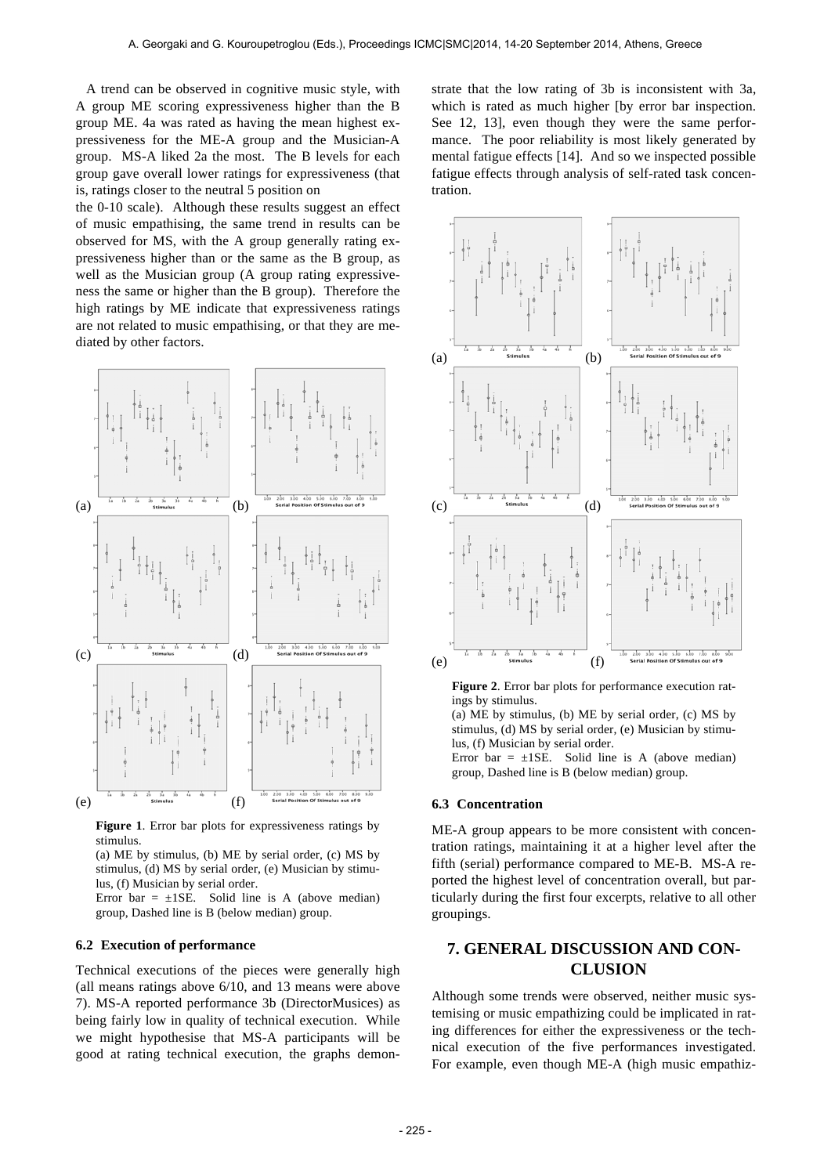A trend can be observed in cognitive music style, with A group ME scoring expressiveness higher than the B group ME. 4a was rated as having the mean highest expressiveness for the ME-A group and the Musician-A group. MS-A liked 2a the most. The B levels for each group gave overall lower ratings for expressiveness (that is, ratings closer to the neutral 5 position on

the 0-10 scale). Although these results suggest an effect of music empathising, the same trend in results can be observed for MS, with the A group generally rating expressiveness higher than or the same as the B group, as well as the Musician group (A group rating expressiveness the same or higher than the B group). Therefore the high ratings by ME indicate that expressiveness ratings are not related to music empathising, or that they are mediated by other factors.



**Figure 1**. Error bar plots for expressiveness ratings by stimulus.

(a) ME by stimulus, (b) ME by serial order, (c) MS by stimulus, (d) MS by serial order, (e) Musician by stimulus, (f) Musician by serial order.

Error bar =  $\pm$ 1SE. Solid line is A (above median) group, Dashed line is B (below median) group.

#### **6.2 Execution of performance**

Technical executions of the pieces were generally high (all means ratings above 6/10, and 13 means were above 7). MS-A reported performance 3b (DirectorMusices) as being fairly low in quality of technical execution. While we might hypothesise that MS-A participants will be good at rating technical execution, the graphs demonstrate that the low rating of 3b is inconsistent with 3a, which is rated as much higher [by error bar inspection. See 12, 13], even though they were the same performance. The poor reliability is most likely generated by mental fatigue effects [14]. And so we inspected possible fatigue effects through analysis of self-rated task concentration.



**Figure 2**. Error bar plots for performance execution ratings by stimulus.

(a) ME by stimulus, (b) ME by serial order, (c) MS by stimulus, (d) MS by serial order, (e) Musician by stimulus, (f) Musician by serial order.

Error bar =  $\pm$ 1SE. Solid line is A (above median) group, Dashed line is B (below median) group.

#### **6.3 Concentration**

ME-A group appears to be more consistent with concentration ratings, maintaining it at a higher level after the fifth (serial) performance compared to ME-B. MS-A reported the highest level of concentration overall, but particularly during the first four excerpts, relative to all other groupings.

## **7. GENERAL DISCUSSION AND CON-CLUSION**

Although some trends were observed, neither music systemising or music empathizing could be implicated in rating differences for either the expressiveness or the technical execution of the five performances investigated. For example, even though ME-A (high music empathiz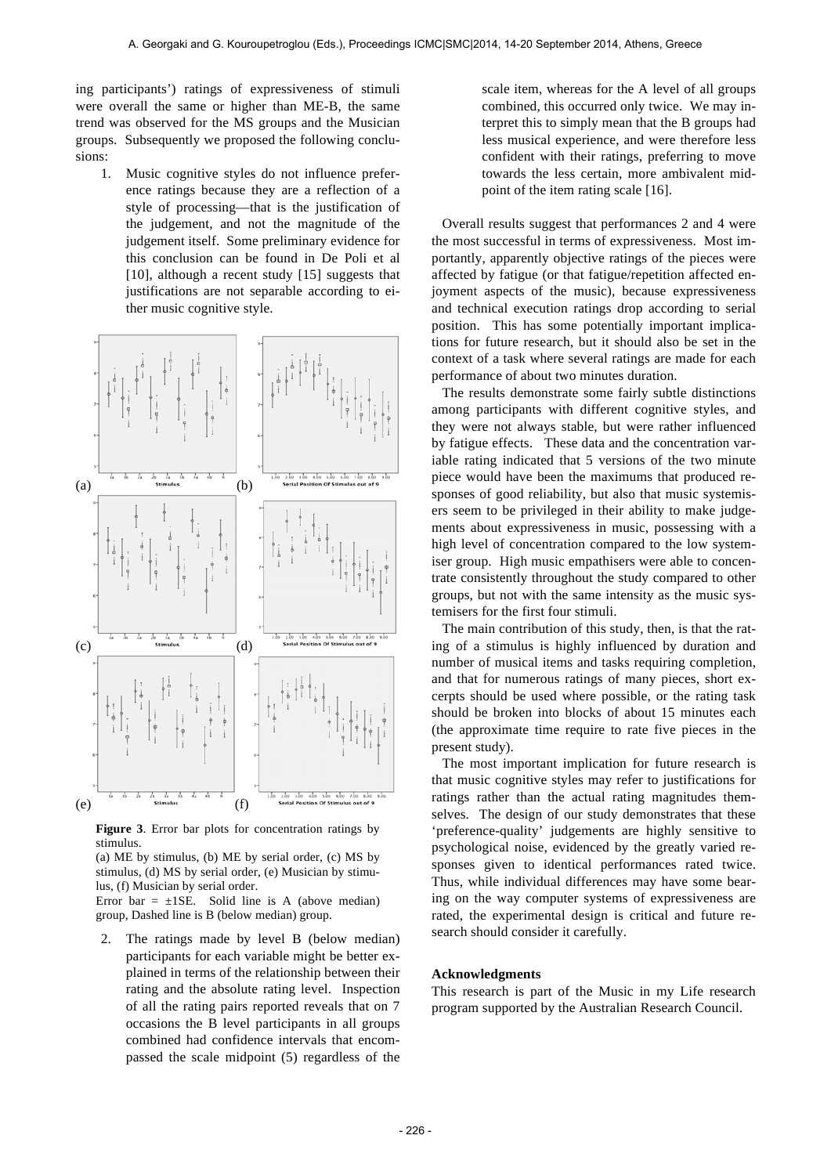ing participants') ratings of expressiveness of stimuli were overall the same or higher than ME-B, the same trend was observed for the MS groups and the Musician groups. Subsequently we proposed the following conclusions:

1. Music cognitive styles do not influence preference ratings because they are a reflection of a style of processing—that is the justification of the judgement, and not the magnitude of the judgement itself. Some preliminary evidence for this conclusion can be found in De Poli et al [10], although a recent study [15] suggests that justifications are not separable according to either music cognitive style.



**Figure 3**. Error bar plots for concentration ratings by stimulus.

(a) ME by stimulus, (b) ME by serial order, (c) MS by stimulus, (d) MS by serial order, (e) Musician by stimulus, (f) Musician by serial order.

Error bar =  $\pm$ 1SE. Solid line is A (above median) group, Dashed line is B (below median) group.

2. The ratings made by level B (below median) participants for each variable might be better explained in terms of the relationship between their rating and the absolute rating level. Inspection of all the rating pairs reported reveals that on 7 occasions the B level participants in all groups combined had confidence intervals that encompassed the scale midpoint (5) regardless of the

scale item, whereas for the A level of all groups combined, this occurred only twice. We may interpret this to simply mean that the B groups had less musical experience, and were therefore less confident with their ratings, preferring to move towards the less certain, more ambivalent midpoint of the item rating scale [16].

 Overall results suggest that performances 2 and 4 were the most successful in terms of expressiveness. Most importantly, apparently objective ratings of the pieces were affected by fatigue (or that fatigue/repetition affected enjoyment aspects of the music), because expressiveness and technical execution ratings drop according to serial position. This has some potentially important implications for future research, but it should also be set in the context of a task where several ratings are made for each performance of about two minutes duration.

 The results demonstrate some fairly subtle distinctions among participants with different cognitive styles, and they were not always stable, but were rather influenced by fatigue effects. These data and the concentration variable rating indicated that 5 versions of the two minute piece would have been the maximums that produced responses of good reliability, but also that music systemisers seem to be privileged in their ability to make judgements about expressiveness in music, possessing with a high level of concentration compared to the low systemiser group. High music empathisers were able to concentrate consistently throughout the study compared to other groups, but not with the same intensity as the music systemisers for the first four stimuli.

 The main contribution of this study, then, is that the rating of a stimulus is highly influenced by duration and number of musical items and tasks requiring completion, and that for numerous ratings of many pieces, short excerpts should be used where possible, or the rating task should be broken into blocks of about 15 minutes each (the approximate time require to rate five pieces in the present study).

 The most important implication for future research is that music cognitive styles may refer to justifications for ratings rather than the actual rating magnitudes themselves. The design of our study demonstrates that these 'preference-quality' judgements are highly sensitive to psychological noise, evidenced by the greatly varied responses given to identical performances rated twice. Thus, while individual differences may have some bearing on the way computer systems of expressiveness are rated, the experimental design is critical and future research should consider it carefully.

#### **Acknowledgments**

This research is part of the Music in my Life research program supported by the Australian Research Council.